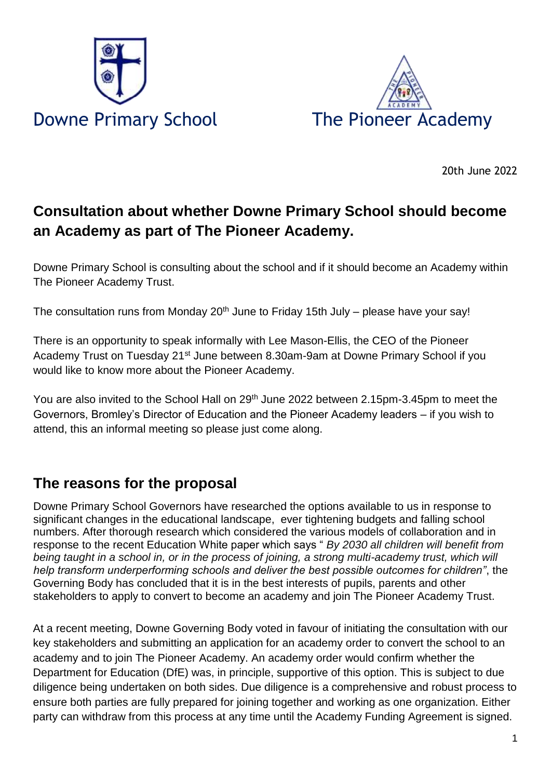



20th June 2022

## **Consultation about whether Downe Primary School should become an Academy as part of The Pioneer Academy.**

Downe Primary School is consulting about the school and if it should become an Academy within The Pioneer Academy Trust.

The consultation runs from Monday  $20<sup>th</sup>$  June to Friday 15th July – please have your say!

There is an opportunity to speak informally with Lee Mason-Ellis, the CEO of the Pioneer Academy Trust on Tuesday 21<sup>st</sup> June between 8.30am-9am at Downe Primary School if you would like to know more about the Pioneer Academy.

You are also invited to the School Hall on 29<sup>th</sup> June 2022 between 2.15pm-3.45pm to meet the Governors, Bromley's Director of Education and the Pioneer Academy leaders – if you wish to attend, this an informal meeting so please just come along.

#### **The reasons for the proposal**

Downe Primary School Governors have researched the options available to us in response to significant changes in the educational landscape, ever tightening budgets and falling school numbers. After thorough research which considered the various models of collaboration and in response to the recent Education White paper which says " *By 2030 all children will benefit from being taught in a school in, or in the process of joining, a strong multi-academy trust, which will help transform underperforming schools and deliver the best possible outcomes for children"*, the Governing Body has concluded that it is in the best interests of pupils, parents and other stakeholders to apply to convert to become an academy and join The Pioneer Academy Trust.

At a recent meeting, Downe Governing Body voted in favour of initiating the consultation with our key stakeholders and submitting an application for an academy order to convert the school to an academy and to join The Pioneer Academy. An academy order would confirm whether the Department for Education (DfE) was, in principle, supportive of this option. This is subject to due diligence being undertaken on both sides. Due diligence is a comprehensive and robust process to ensure both parties are fully prepared for joining together and working as one organization. Either party can withdraw from this process at any time until the Academy Funding Agreement is signed.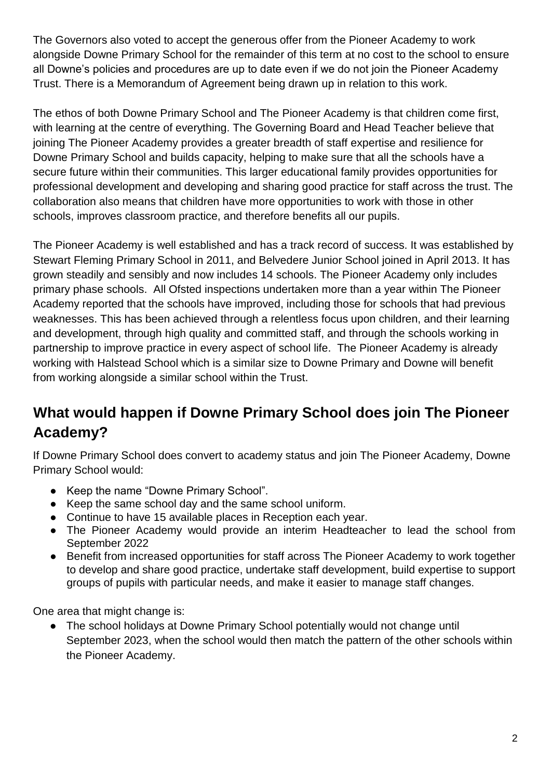The Governors also voted to accept the generous offer from the Pioneer Academy to work alongside Downe Primary School for the remainder of this term at no cost to the school to ensure all Downe's policies and procedures are up to date even if we do not join the Pioneer Academy Trust. There is a Memorandum of Agreement being drawn up in relation to this work.

The ethos of both Downe Primary School and The Pioneer Academy is that children come first, with learning at the centre of everything. The Governing Board and Head Teacher believe that joining The Pioneer Academy provides a greater breadth of staff expertise and resilience for Downe Primary School and builds capacity, helping to make sure that all the schools have a secure future within their communities. This larger educational family provides opportunities for professional development and developing and sharing good practice for staff across the trust. The collaboration also means that children have more opportunities to work with those in other schools, improves classroom practice, and therefore benefits all our pupils.

The Pioneer Academy is well established and has a track record of success. It was established by Stewart Fleming Primary School in 2011, and Belvedere Junior School joined in April 2013. It has grown steadily and sensibly and now includes 14 schools. The Pioneer Academy only includes primary phase schools. All Ofsted inspections undertaken more than a year within The Pioneer Academy reported that the schools have improved, including those for schools that had previous weaknesses. This has been achieved through a relentless focus upon children, and their learning and development, through high quality and committed staff, and through the schools working in partnership to improve practice in every aspect of school life. The Pioneer Academy is already working with Halstead School which is a similar size to Downe Primary and Downe will benefit from working alongside a similar school within the Trust.

# **What would happen if Downe Primary School does join The Pioneer Academy?**

If Downe Primary School does convert to academy status and join The Pioneer Academy, Downe Primary School would:

- Keep the name "Downe Primary School".
- Keep the same school day and the same school uniform.
- Continue to have 15 available places in Reception each year.
- The Pioneer Academy would provide an interim Headteacher to lead the school from September 2022
- Benefit from increased opportunities for staff across The Pioneer Academy to work together to develop and share good practice, undertake staff development, build expertise to support groups of pupils with particular needs, and make it easier to manage staff changes.

One area that might change is:

The school holidays at Downe Primary School potentially would not change until September 2023, when the school would then match the pattern of the other schools within the Pioneer Academy.